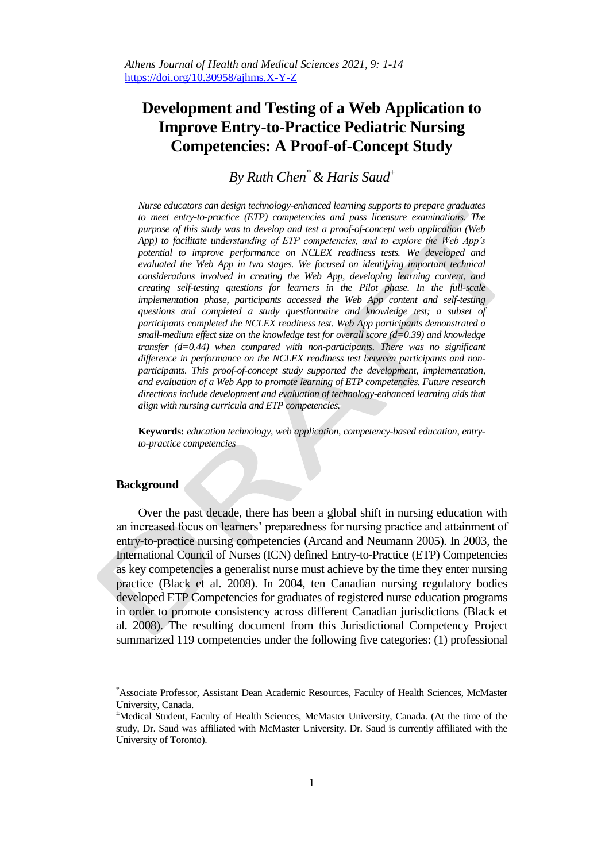# **Development and Testing of a Web Application to Improve Entry-to-Practice Pediatric Nursing Competencies: A Proof-of-Concept Study**

*By Ruth Chen\*& Haris Saud<sup>±</sup>*

*Nurse educators can design technology-enhanced learning supports to prepare graduates to meet entry-to-practice (ETP) competencies and pass licensure examinations. The purpose of this study was to develop and test a proof-of-concept web application (Web App) to facilitate understanding of ETP competencies, and to explore the Web App's potential to improve performance on NCLEX readiness tests. We developed and evaluated the Web App in two stages. We focused on identifying important technical considerations involved in creating the Web App, developing learning content, and creating self-testing questions for learners in the Pilot phase. In the full-scale implementation phase, participants accessed the Web App content and self-testing questions and completed a study questionnaire and knowledge test; a subset of participants completed the NCLEX readiness test. Web App participants demonstrated a small-medium effect size on the knowledge test for overall score (d=0.39) and knowledge transfer (d=0.44) when compared with non-participants. There was no significant difference in performance on the NCLEX readiness test between participants and nonparticipants. This proof-of-concept study supported the development, implementation, and evaluation of a Web App to promote learning of ETP competencies. Future research directions include development and evaluation of technology-enhanced learning aids that align with nursing curricula and ETP competencies.*

**Keywords:** *education technology, web application, competency-based education, entryto-practice competencies*

# **Background**

 $\overline{\phantom{a}}$ 

Over the past decade, there has been a global shift in nursing education with an increased focus on learners' preparedness for nursing practice and attainment of entry-to-practice nursing competencies (Arcand and Neumann 2005). In 2003, the International Council of Nurses (ICN) defined Entry-to-Practice (ETP) Competencies as key competencies a generalist nurse must achieve by the time they enter nursing practice (Black et al. 2008). In 2004, ten Canadian nursing regulatory bodies developed ETP Competencies for graduates of registered nurse education programs in order to promote consistency across different Canadian jurisdictions (Black et al. 2008). The resulting document from this Jurisdictional Competency Project summarized 119 competencies under the following five categories: (1) professional

<sup>\*</sup>Associate Professor, Assistant Dean Academic Resources, Faculty of Health Sciences, McMaster University, Canada.

<sup>±</sup>Medical Student, Faculty of Health Sciences, McMaster University, Canada. (At the time of the study, Dr. Saud was affiliated with McMaster University. Dr. Saud is currently affiliated with the University of Toronto).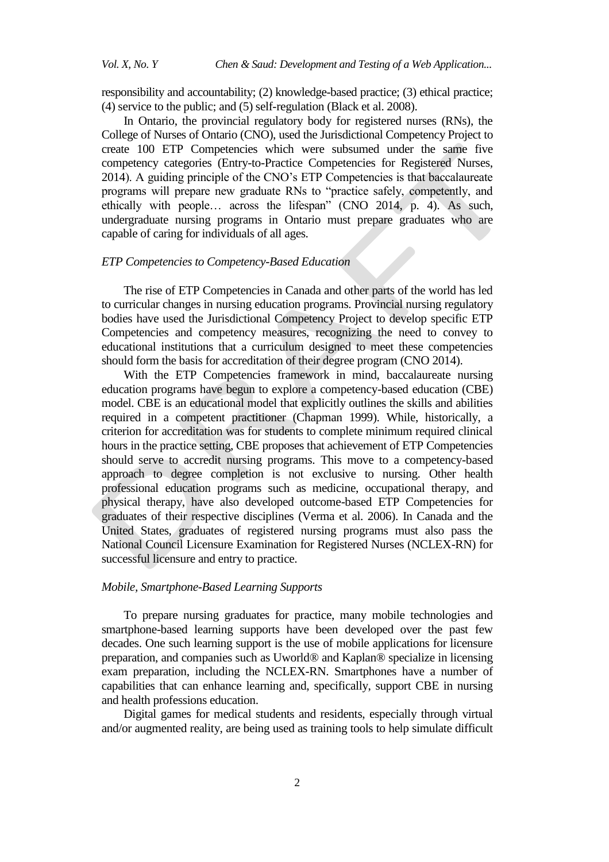responsibility and accountability; (2) knowledge-based practice; (3) ethical practice; (4) service to the public; and (5) self-regulation (Black et al. 2008).

In Ontario, the provincial regulatory body for registered nurses (RNs), the College of Nurses of Ontario (CNO), used the Jurisdictional Competency Project to create 100 ETP Competencies which were subsumed under the same five competency categories (Entry-to-Practice Competencies for Registered Nurses, 2014). A guiding principle of the CNO's ETP Competencies is that baccalaureate programs will prepare new graduate RNs to "practice safely, competently, and ethically with people… across the lifespan" (CNO 2014, p. 4). As such, undergraduate nursing programs in Ontario must prepare graduates who are capable of caring for individuals of all ages.

#### *ETP Competencies to Competency-Based Education*

The rise of ETP Competencies in Canada and other parts of the world has led to curricular changes in nursing education programs. Provincial nursing regulatory bodies have used the Jurisdictional Competency Project to develop specific ETP Competencies and competency measures, recognizing the need to convey to educational institutions that a curriculum designed to meet these competencies should form the basis for accreditation of their degree program (CNO 2014).

With the ETP Competencies framework in mind, baccalaureate nursing education programs have begun to explore a competency-based education (CBE) model. CBE is an educational model that explicitly outlines the skills and abilities required in a competent practitioner (Chapman 1999). While, historically, a criterion for accreditation was for students to complete minimum required clinical hours in the practice setting, CBE proposes that achievement of ETP Competencies should serve to accredit nursing programs. This move to a competency-based approach to degree completion is not exclusive to nursing. Other health professional education programs such as medicine, occupational therapy, and physical therapy, have also developed outcome-based ETP Competencies for graduates of their respective disciplines (Verma et al. 2006). In Canada and the United States, graduates of registered nursing programs must also pass the National Council Licensure Examination for Registered Nurses (NCLEX-RN) for successful licensure and entry to practice.

# *Mobile, Smartphone-Based Learning Supports*

To prepare nursing graduates for practice, many mobile technologies and smartphone-based learning supports have been developed over the past few decades. One such learning support is the use of mobile applications for licensure preparation, and companies such as Uworld® and Kaplan® specialize in licensing exam preparation, including the NCLEX-RN. Smartphones have a number of capabilities that can enhance learning and, specifically, support CBE in nursing and health professions education.

Digital games for medical students and residents, especially through virtual and/or augmented reality, are being used as training tools to help simulate difficult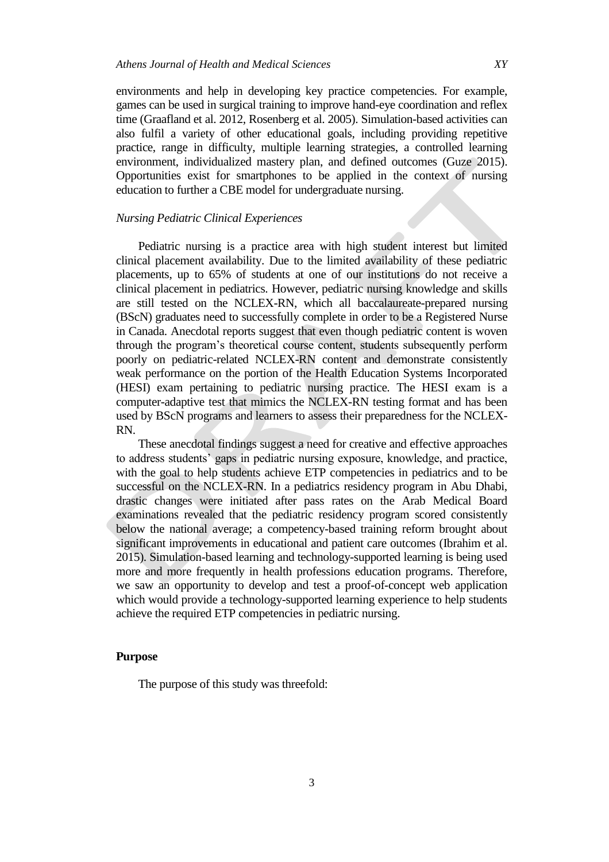environments and help in developing key practice competencies. For example, games can be used in surgical training to improve hand-eye coordination and reflex time (Graafland et al. 2012, Rosenberg et al. 2005). Simulation-based activities can also fulfil a variety of other educational goals, including providing repetitive practice, range in difficulty, multiple learning strategies, a controlled learning environment, individualized mastery plan, and defined outcomes (Guze 2015). Opportunities exist for smartphones to be applied in the context of nursing education to further a CBE model for undergraduate nursing.

# *Nursing Pediatric Clinical Experiences*

Pediatric nursing is a practice area with high student interest but limited clinical placement availability. Due to the limited availability of these pediatric placements, up to 65% of students at one of our institutions do not receive a clinical placement in pediatrics. However, pediatric nursing knowledge and skills are still tested on the NCLEX-RN, which all baccalaureate-prepared nursing (BScN) graduates need to successfully complete in order to be a Registered Nurse in Canada. Anecdotal reports suggest that even though pediatric content is woven through the program's theoretical course content, students subsequently perform poorly on pediatric-related NCLEX-RN content and demonstrate consistently weak performance on the portion of the Health Education Systems Incorporated (HESI) exam pertaining to pediatric nursing practice. The HESI exam is a computer-adaptive test that mimics the NCLEX-RN testing format and has been used by BScN programs and learners to assess their preparedness for the NCLEX-RN.

These anecdotal findings suggest a need for creative and effective approaches to address students' gaps in pediatric nursing exposure, knowledge, and practice, with the goal to help students achieve ETP competencies in pediatrics and to be successful on the NCLEX-RN. In a pediatrics residency program in Abu Dhabi, drastic changes were initiated after pass rates on the Arab Medical Board examinations revealed that the pediatric residency program scored consistently below the national average; a competency-based training reform brought about significant improvements in educational and patient care outcomes (Ibrahim et al. 2015). Simulation-based learning and technology-supported learning is being used more and more frequently in health professions education programs. Therefore, we saw an opportunity to develop and test a proof-of-concept web application which would provide a technology-supported learning experience to help students achieve the required ETP competencies in pediatric nursing.

## **Purpose**

The purpose of this study was threefold: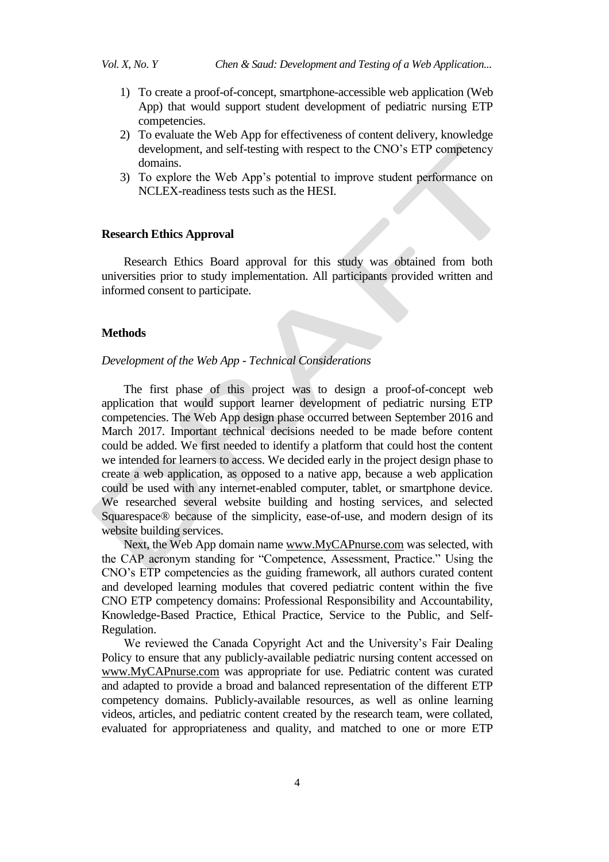- 1) To create a proof-of-concept, smartphone-accessible web application (Web App) that would support student development of pediatric nursing ETP competencies.
- 2) To evaluate the Web App for effectiveness of content delivery, knowledge development, and self-testing with respect to the CNO's ETP competency domains.
- 3) To explore the Web App's potential to improve student performance on NCLEX-readiness tests such as the HESI.

## **Research Ethics Approval**

Research Ethics Board approval for this study was obtained from both universities prior to study implementation. All participants provided written and informed consent to participate.

#### **Methods**

#### *Development of the Web App - Technical Considerations*

The first phase of this project was to design a proof-of-concept web application that would support learner development of pediatric nursing ETP competencies. The Web App design phase occurred between September 2016 and March 2017. Important technical decisions needed to be made before content could be added. We first needed to identify a platform that could host the content we intended for learners to access. We decided early in the project design phase to create a web application, as opposed to a native app, because a web application could be used with any internet-enabled computer, tablet, or smartphone device. We researched several website building and hosting services, and selected Squarespace® because of the simplicity, ease-of-use, and modern design of its website building services.

Next, the Web App domain name www.MyCAPnurse.com was selected, with the CAP acronym standing for "Competence, Assessment, Practice." Using the CNO's ETP competencies as the guiding framework, all authors curated content and developed learning modules that covered pediatric content within the five CNO ETP competency domains: Professional Responsibility and Accountability, Knowledge-Based Practice, Ethical Practice, Service to the Public, and Self-Regulation.

We reviewed the Canada Copyright Act and the University's Fair Dealing Policy to ensure that any publicly-available pediatric nursing content accessed on www.MyCAPnurse.com was appropriate for use. Pediatric content was curated and adapted to provide a broad and balanced representation of the different ETP competency domains. Publicly-available resources, as well as online learning videos, articles, and pediatric content created by the research team, were collated, evaluated for appropriateness and quality, and matched to one or more ETP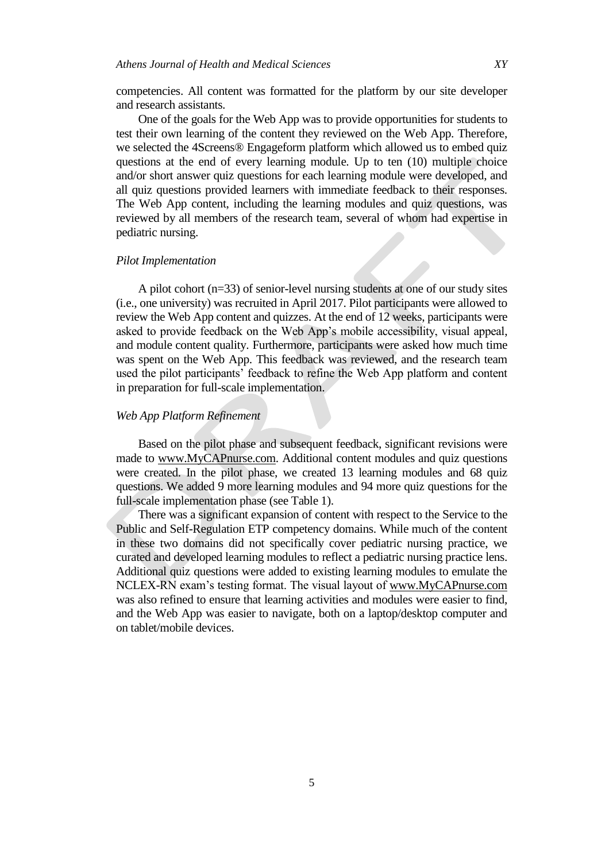competencies. All content was formatted for the platform by our site developer and research assistants.

One of the goals for the Web App was to provide opportunities for students to test their own learning of the content they reviewed on the Web App. Therefore, we selected the 4Screens® Engageform platform which allowed us to embed quiz questions at the end of every learning module. Up to ten (10) multiple choice and/or short answer quiz questions for each learning module were developed, and all quiz questions provided learners with immediate feedback to their responses. The Web App content, including the learning modules and quiz questions, was reviewed by all members of the research team, several of whom had expertise in pediatric nursing.

#### *Pilot Implementation*

A pilot cohort (n=33) of senior-level nursing students at one of our study sites (i.e., one university) was recruited in April 2017. Pilot participants were allowed to review the Web App content and quizzes. At the end of 12 weeks, participants were asked to provide feedback on the Web App's mobile accessibility, visual appeal, and module content quality. Furthermore, participants were asked how much time was spent on the Web App. This feedback was reviewed, and the research team used the pilot participants' feedback to refine the Web App platform and content in preparation for full-scale implementation.

#### *Web App Platform Refinement*

Based on the pilot phase and subsequent feedback, significant revisions were made to www.MyCAPnurse.com. Additional content modules and quiz questions were created. In the pilot phase, we created 13 learning modules and 68 quiz questions. We added 9 more learning modules and 94 more quiz questions for the full-scale implementation phase (see Table 1).

There was a significant expansion of content with respect to the Service to the Public and Self-Regulation ETP competency domains. While much of the content in these two domains did not specifically cover pediatric nursing practice, we curated and developed learning modules to reflect a pediatric nursing practice lens. Additional quiz questions were added to existing learning modules to emulate the NCLEX-RN exam's testing format. The visual layout of www.MyCAPnurse.com was also refined to ensure that learning activities and modules were easier to find, and the Web App was easier to navigate, both on a laptop/desktop computer and on tablet/mobile devices.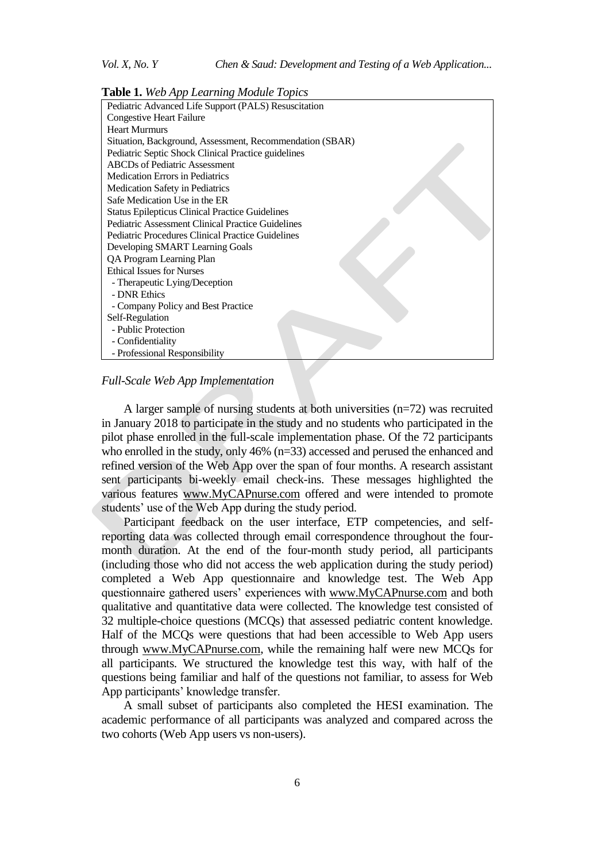**Table 1.** *Web App Learning Module Topics*



#### *Full-Scale Web App Implementation*

A larger sample of nursing students at both universities (n=72) was recruited in January 2018 to participate in the study and no students who participated in the pilot phase enrolled in the full-scale implementation phase. Of the 72 participants who enrolled in the study, only 46% (n=33) accessed and perused the enhanced and refined version of the Web App over the span of four months. A research assistant sent participants bi-weekly email check-ins. These messages highlighted the various features www.MyCAPnurse.com offered and were intended to promote students' use of the Web App during the study period.

Participant feedback on the user interface, ETP competencies, and selfreporting data was collected through email correspondence throughout the fourmonth duration. At the end of the four-month study period, all participants (including those who did not access the web application during the study period) completed a Web App questionnaire and knowledge test. The Web App questionnaire gathered users' experiences with www.MyCAPnurse.com and both qualitative and quantitative data were collected. The knowledge test consisted of 32 multiple-choice questions (MCQs) that assessed pediatric content knowledge. Half of the MCQs were questions that had been accessible to Web App users through www.MyCAPnurse.com, while the remaining half were new MCQs for all participants. We structured the knowledge test this way, with half of the questions being familiar and half of the questions not familiar, to assess for Web App participants' knowledge transfer.

A small subset of participants also completed the HESI examination. The academic performance of all participants was analyzed and compared across the two cohorts (Web App users vs non-users).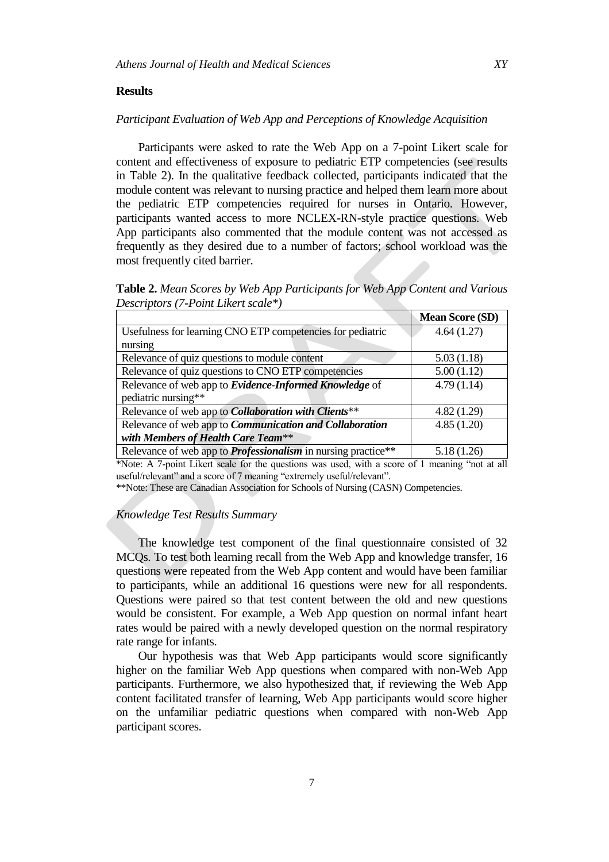# **Results**

# *Participant Evaluation of Web App and Perceptions of Knowledge Acquisition*

Participants were asked to rate the Web App on a 7-point Likert scale for content and effectiveness of exposure to pediatric ETP competencies (see results in Table 2). In the qualitative feedback collected, participants indicated that the module content was relevant to nursing practice and helped them learn more about the pediatric ETP competencies required for nurses in Ontario. However, participants wanted access to more NCLEX-RN-style practice questions. Web App participants also commented that the module content was not accessed as frequently as they desired due to a number of factors; school workload was the most frequently cited barrier.

**Table 2.** *Mean Scores by Web App Participants for Web App Content and Various Descriptors (7-Point Likert scale\*)*

|                                                                      | <b>Mean Score (SD)</b> |
|----------------------------------------------------------------------|------------------------|
| Usefulness for learning CNO ETP competencies for pediatric           | 4.64(1.27)             |
| nursing                                                              |                        |
| Relevance of quiz questions to module content                        | 5.03(1.18)             |
| Relevance of quiz questions to CNO ETP competencies                  | 5.00(1.12)             |
| Relevance of web app to <i>Evidence-Informed Knowledge</i> of        | 4.79(1.14)             |
| pediatric nursing**                                                  |                        |
| Relevance of web app to <i>Collaboration with Clients</i> **         | 4.82(1.29)             |
| Relevance of web app to <i>Communication and Collaboration</i>       | 4.85(1.20)             |
| with Members of Health Care Team**                                   |                        |
| Relevance of web app to <i>Professionalism</i> in nursing practice** | 5.18 (1.26)            |

\*Note: A 7-point Likert scale for the questions was used, with a score of 1 meaning "not at all useful/relevant" and a score of 7 meaning "extremely useful/relevant".

\*\*Note: These are Canadian Association for Schools of Nursing (CASN) Competencies.

#### *Knowledge Test Results Summary*

The knowledge test component of the final questionnaire consisted of 32 MCQs. To test both learning recall from the Web App and knowledge transfer, 16 questions were repeated from the Web App content and would have been familiar to participants, while an additional 16 questions were new for all respondents. Questions were paired so that test content between the old and new questions would be consistent. For example, a Web App question on normal infant heart rates would be paired with a newly developed question on the normal respiratory rate range for infants.

Our hypothesis was that Web App participants would score significantly higher on the familiar Web App questions when compared with non-Web App participants. Furthermore, we also hypothesized that, if reviewing the Web App content facilitated transfer of learning, Web App participants would score higher on the unfamiliar pediatric questions when compared with non-Web App participant scores.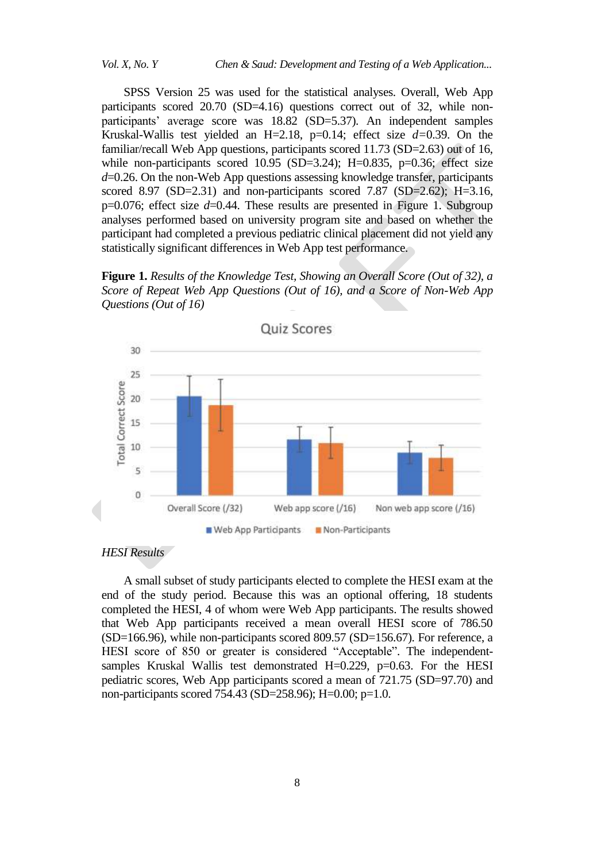SPSS Version 25 was used for the statistical analyses. Overall, Web App participants scored 20.70 (SD=4.16) questions correct out of 32, while nonparticipants' average score was 18.82 (SD=5.37). An independent samples Kruskal-Wallis test yielded an H=2.18, p=0.14; effect size *d=*0.39. On the familiar/recall Web App questions, participants scored 11.73 (SD=2.63) out of 16, while non-participants scored  $10.95$  (SD=3.24); H=0.835, p=0.36; effect size *d*=0.26. On the non-Web App questions assessing knowledge transfer, participants scored 8.97 (SD=2.31) and non-participants scored 7.87 (SD=2.62); H=3.16, p=0.076; effect size *d*=0.44. These results are presented in Figure 1. Subgroup analyses performed based on university program site and based on whether the participant had completed a previous pediatric clinical placement did not yield any statistically significant differences in Web App test performance.

**Figure 1.** *Results of the Knowledge Test, Showing an Overall Score (Out of 32), a Score of Repeat Web App Questions (Out of 16), and a Score of Non-Web App Questions (Out of 16)*



# *HESI Results*

A small subset of study participants elected to complete the HESI exam at the end of the study period. Because this was an optional offering, 18 students completed the HESI, 4 of whom were Web App participants. The results showed that Web App participants received a mean overall HESI score of 786.50  $(SD=166.96)$ , while non-participants scored 809.57  $(SD=156.67)$ . For reference, a HESI score of 850 or greater is considered "Acceptable". The independentsamples Kruskal Wallis test demonstrated H=0.229, p=0.63. For the HESI pediatric scores, Web App participants scored a mean of 721.75 (SD=97.70) and non-participants scored 754.43 (SD=258.96); H=0.00; p=1.0.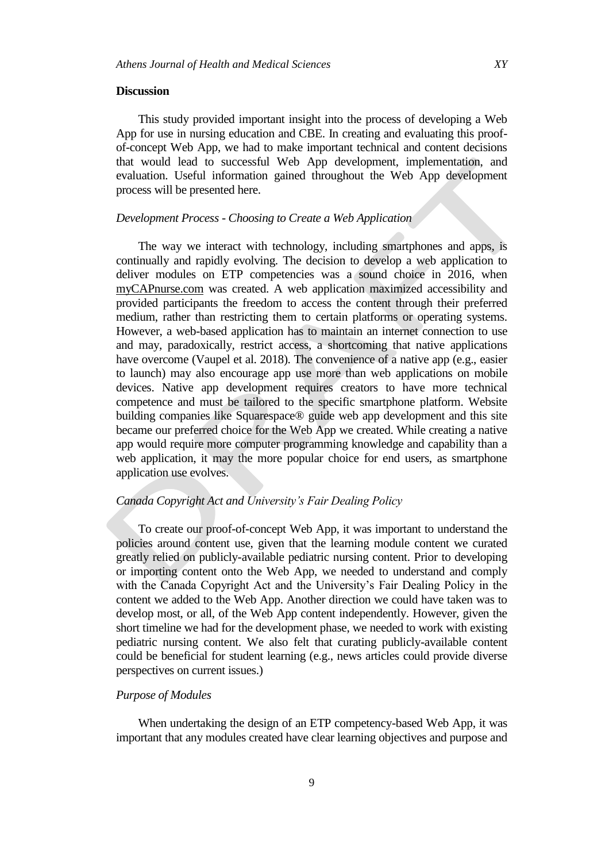#### **Discussion**

This study provided important insight into the process of developing a Web App for use in nursing education and CBE. In creating and evaluating this proofof-concept Web App, we had to make important technical and content decisions that would lead to successful Web App development, implementation, and evaluation. Useful information gained throughout the Web App development process will be presented here.

# *Development Process - Choosing to Create a Web Application*

The way we interact with technology, including smartphones and apps, is continually and rapidly evolving. The decision to develop a web application to deliver modules on ETP competencies was a sound choice in 2016, when myCAPnurse.com was created. A web application maximized accessibility and provided participants the freedom to access the content through their preferred medium, rather than restricting them to certain platforms or operating systems. However, a web-based application has to maintain an internet connection to use and may, paradoxically, restrict access, a shortcoming that native applications have overcome (Vaupel et al. 2018). The convenience of a native app (e.g., easier to launch) may also encourage app use more than web applications on mobile devices. Native app development requires creators to have more technical competence and must be tailored to the specific smartphone platform. Website building companies like Squarespace® guide web app development and this site became our preferred choice for the Web App we created. While creating a native app would require more computer programming knowledge and capability than a web application, it may the more popular choice for end users, as smartphone application use evolves.

# *Canada Copyright Act and University's Fair Dealing Policy*

To create our proof-of-concept Web App, it was important to understand the policies around content use, given that the learning module content we curated greatly relied on publicly-available pediatric nursing content. Prior to developing or importing content onto the Web App, we needed to understand and comply with the Canada Copyright Act and the University's Fair Dealing Policy in the content we added to the Web App. Another direction we could have taken was to develop most, or all, of the Web App content independently. However, given the short timeline we had for the development phase, we needed to work with existing pediatric nursing content. We also felt that curating publicly-available content could be beneficial for student learning (e.g., news articles could provide diverse perspectives on current issues.)

#### *Purpose of Modules*

When undertaking the design of an ETP competency-based Web App, it was important that any modules created have clear learning objectives and purpose and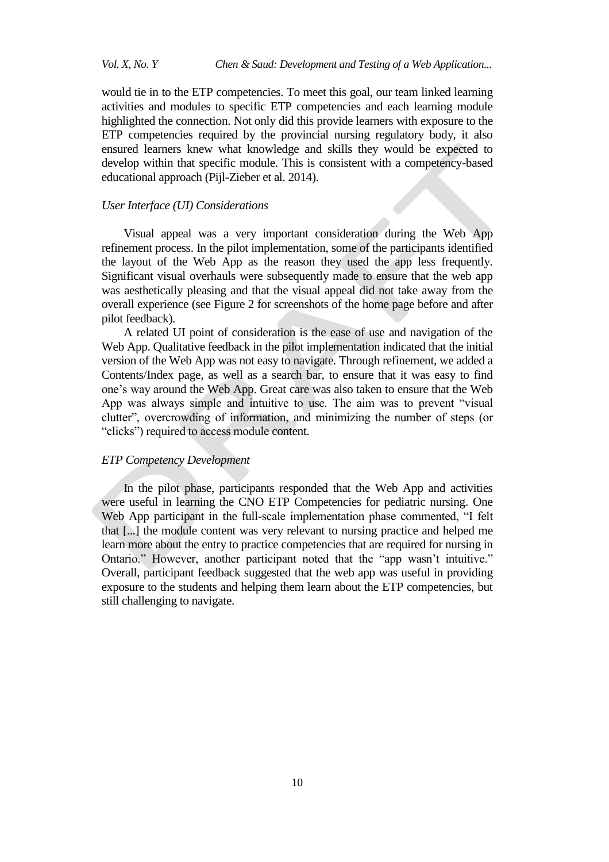would tie in to the ETP competencies. To meet this goal, our team linked learning activities and modules to specific ETP competencies and each learning module highlighted the connection. Not only did this provide learners with exposure to the ETP competencies required by the provincial nursing regulatory body, it also ensured learners knew what knowledge and skills they would be expected to develop within that specific module. This is consistent with a competency-based educational approach (Pijl-Zieber et al. 2014).

#### *User Interface (UI) Considerations*

Visual appeal was a very important consideration during the Web App refinement process. In the pilot implementation, some of the participants identified the layout of the Web App as the reason they used the app less frequently. Significant visual overhauls were subsequently made to ensure that the web app was aesthetically pleasing and that the visual appeal did not take away from the overall experience (see Figure 2 for screenshots of the home page before and after pilot feedback).

A related UI point of consideration is the ease of use and navigation of the Web App. Qualitative feedback in the pilot implementation indicated that the initial version of the Web App was not easy to navigate. Through refinement, we added a Contents/Index page, as well as a search bar, to ensure that it was easy to find one's way around the Web App. Great care was also taken to ensure that the Web App was always simple and intuitive to use. The aim was to prevent "visual clutter", overcrowding of information, and minimizing the number of steps (or "clicks") required to access module content.

# *ETP Competency Development*

In the pilot phase, participants responded that the Web App and activities were useful in learning the CNO ETP Competencies for pediatric nursing. One Web App participant in the full-scale implementation phase commented, "I felt that [...] the module content was very relevant to nursing practice and helped me learn more about the entry to practice competencies that are required for nursing in Ontario." However, another participant noted that the "app wasn't intuitive." Overall, participant feedback suggested that the web app was useful in providing exposure to the students and helping them learn about the ETP competencies, but still challenging to navigate.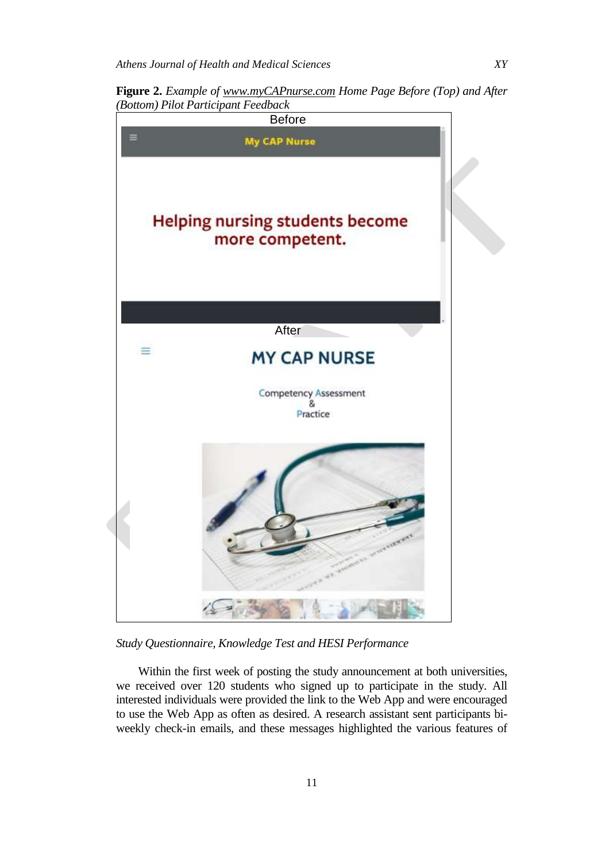**Figure 2.** *Example of www.myCAPnurse.com Home Page Before (Top) and After (Bottom) Pilot Participant Feedback*



*Study Questionnaire, Knowledge Test and HESI Performance*

Within the first week of posting the study announcement at both universities, we received over 120 students who signed up to participate in the study. All interested individuals were provided the link to the Web App and were encouraged to use the Web App as often as desired. A research assistant sent participants biweekly check-in emails, and these messages highlighted the various features of

11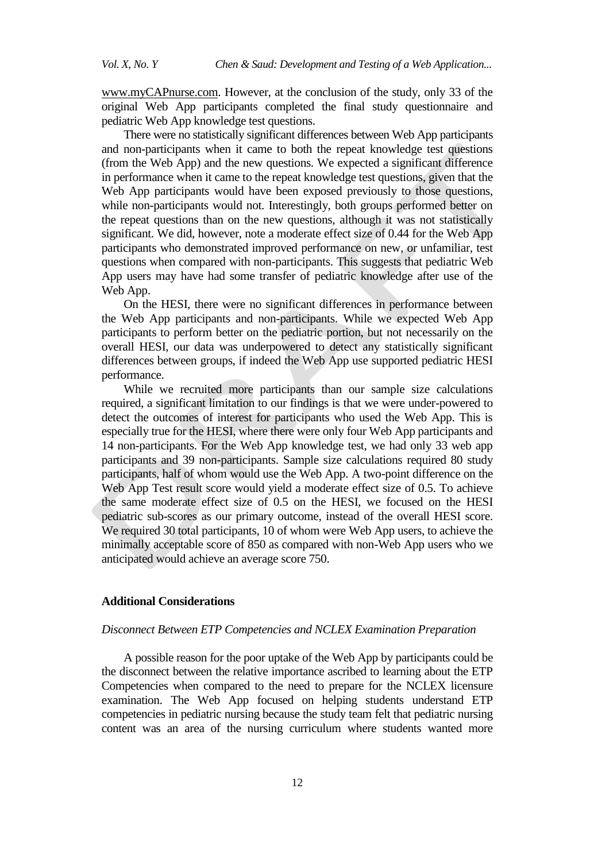www.myCAPnurse.com. However, at the conclusion of the study, only 33 of the original Web App participants completed the final study questionnaire and pediatric Web App knowledge test questions.

There were no statistically significant differences between Web App participants and non-participants when it came to both the repeat knowledge test questions (from the Web App) and the new questions. We expected a significant difference in performance when it came to the repeat knowledge test questions, given that the Web App participants would have been exposed previously to those questions, while non-participants would not. Interestingly, both groups performed better on the repeat questions than on the new questions, although it was not statistically significant. We did, however, note a moderate effect size of 0.44 for the Web App participants who demonstrated improved performance on new, or unfamiliar, test questions when compared with non-participants. This suggests that pediatric Web App users may have had some transfer of pediatric knowledge after use of the Web App.

On the HESI, there were no significant differences in performance between the Web App participants and non-participants. While we expected Web App participants to perform better on the pediatric portion, but not necessarily on the overall HESI, our data was underpowered to detect any statistically significant differences between groups, if indeed the Web App use supported pediatric HESI performance.

While we recruited more participants than our sample size calculations required, a significant limitation to our findings is that we were under-powered to detect the outcomes of interest for participants who used the Web App. This is especially true for the HESI, where there were only four Web App participants and 14 non-participants. For the Web App knowledge test, we had only 33 web app participants and 39 non-participants. Sample size calculations required 80 study participants, half of whom would use the Web App. A two-point difference on the Web App Test result score would yield a moderate effect size of 0.5. To achieve the same moderate effect size of 0.5 on the HESI, we focused on the HESI pediatric sub-scores as our primary outcome, instead of the overall HESI score. We required 30 total participants, 10 of whom were Web App users, to achieve the minimally acceptable score of 850 as compared with non-Web App users who we anticipated would achieve an average score 750.

# **Additional Considerations**

#### *Disconnect Between ETP Competencies and NCLEX Examination Preparation*

A possible reason for the poor uptake of the Web App by participants could be the disconnect between the relative importance ascribed to learning about the ETP Competencies when compared to the need to prepare for the NCLEX licensure examination. The Web App focused on helping students understand ETP competencies in pediatric nursing because the study team felt that pediatric nursing content was an area of the nursing curriculum where students wanted more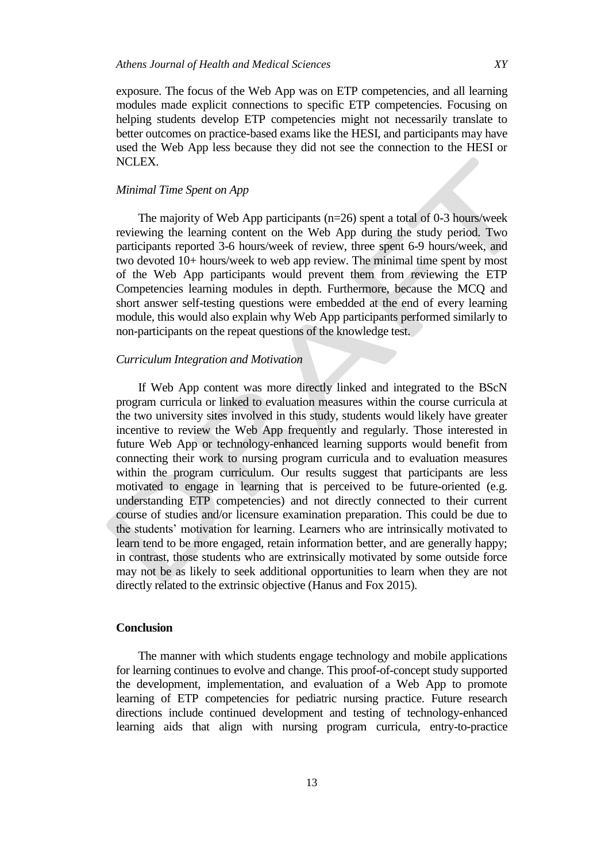exposure. The focus of the Web App was on ETP competencies, and all learning modules made explicit connections to specific ETP competencies. Focusing on helping students develop ETP competencies might not necessarily translate to better outcomes on practice-based exams like the HESI, and participants may have used the Web App less because they did not see the connection to the HESI or NCLEX.

## *Minimal Time Spent on App*

The majority of Web App participants (n=26) spent a total of 0-3 hours/week reviewing the learning content on the Web App during the study period. Two participants reported 3-6 hours/week of review, three spent 6-9 hours/week, and two devoted 10+ hours/week to web app review. The minimal time spent by most of the Web App participants would prevent them from reviewing the ETP Competencies learning modules in depth. Furthermore, because the MCQ and short answer self-testing questions were embedded at the end of every learning module, this would also explain why Web App participants performed similarly to non-participants on the repeat questions of the knowledge test.

#### *Curriculum Integration and Motivation*

If Web App content was more directly linked and integrated to the BScN program curricula or linked to evaluation measures within the course curricula at the two university sites involved in this study, students would likely have greater incentive to review the Web App frequently and regularly. Those interested in future Web App or technology-enhanced learning supports would benefit from connecting their work to nursing program curricula and to evaluation measures within the program curriculum. Our results suggest that participants are less motivated to engage in learning that is perceived to be future-oriented (e.g. understanding ETP competencies) and not directly connected to their current course of studies and/or licensure examination preparation. This could be due to the students' motivation for learning. Learners who are intrinsically motivated to learn tend to be more engaged, retain information better, and are generally happy; in contrast, those students who are extrinsically motivated by some outside force may not be as likely to seek additional opportunities to learn when they are not directly related to the extrinsic objective (Hanus and Fox 2015).

# **Conclusion**

The manner with which students engage technology and mobile applications for learning continues to evolve and change. This proof-of-concept study supported the development, implementation, and evaluation of a Web App to promote learning of ETP competencies for pediatric nursing practice. Future research directions include continued development and testing of technology-enhanced learning aids that align with nursing program curricula, entry-to-practice